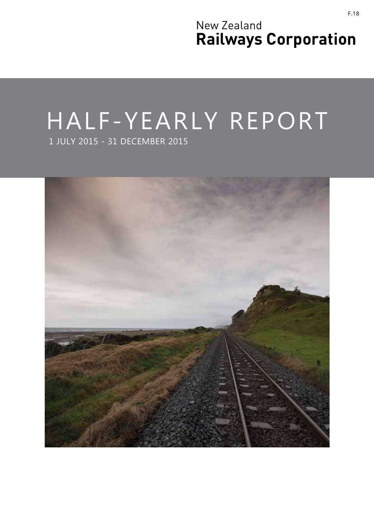New Zealand **Railways Corporation**

## HALF-YEARLY REPORT 1 JULY 2015 - 31 DECEMBER 2015

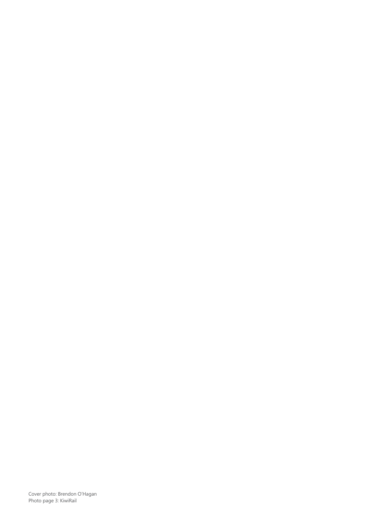Cover photo: Brendon O'Hagan Photo page 3: KiwiRail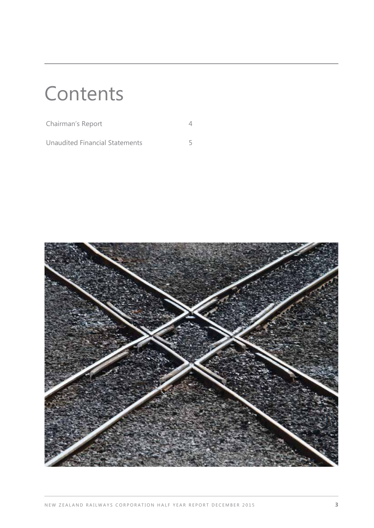# **Contents**

| Chairman's Report              |  |
|--------------------------------|--|
| Unaudited Financial Statements |  |

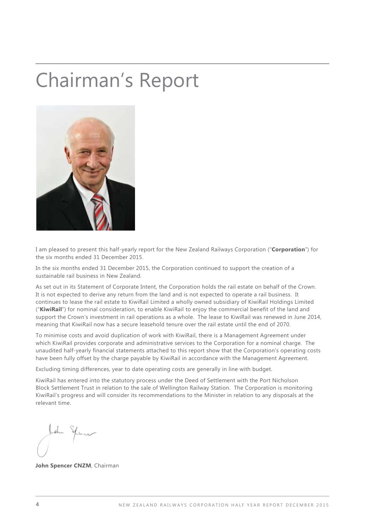## Chairman's Report



I am pleased to present this half-yearly report for the New Zealand Railways Corporation ("**Corporation**") for the six months ended 31 December 2015.

In the six months ended 31 December 2015, the Corporation continued to support the creation of a sustainable rail business in New Zealand.

As set out in its Statement of Corporate Intent, the Corporation holds the rail estate on behalf of the Crown. It is not expected to derive any return from the land and is not expected to operate a rail business. It continues to lease the rail estate to KiwiRail Limited a wholly owned subsidiary of KiwiRail Holdings Limited ("**KiwiRail**") for nominal consideration, to enable KiwiRail to enjoy the commercial benefit of the land and support the Crown's investment in rail operations as a whole. The lease to KiwiRail was renewed in June 2014, meaning that KiwiRail now has a secure leasehold tenure over the rail estate until the end of 2070.

To minimise costs and avoid duplication of work with KiwiRail, there is a Management Agreement under which KiwiRail provides corporate and administrative services to the Corporation for a nominal charge. The unaudited half-yearly financial statements attached to this report show that the Corporation's operating costs have been fully offset by the charge payable by KiwiRail in accordance with the Management Agreement.

Excluding timing differences, year to date operating costs are generally in line with budget.

KiwiRail has entered into the statutory process under the Deed of Settlement with the Port Nicholson Block Settlement Trust in relation to the sale of Wellington Railway Station. The Corporation is monitoring KiwiRail's progress and will consider its recommendations to the Minister in relation to any disposals at the relevant time.

**John Spencer CNZM**, Chairman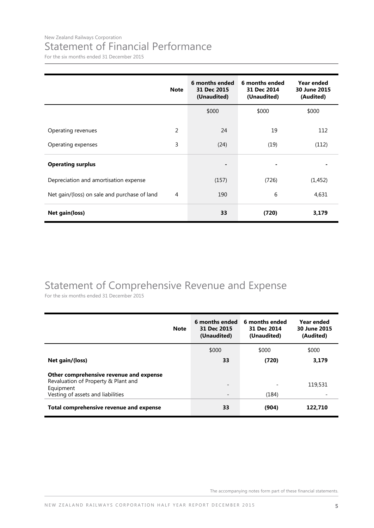#### New Zealand Railways Corporation Statement of Financial Performance

For the six months ended 31 December 2015

|                                              | <b>Note</b> | 6 months ended<br>31 Dec 2015<br>(Unaudited) | 6 months ended<br>31 Dec 2014<br>(Unaudited) | <b>Year ended</b><br>30 June 2015<br>(Audited) |
|----------------------------------------------|-------------|----------------------------------------------|----------------------------------------------|------------------------------------------------|
|                                              |             | \$000                                        | \$000                                        | \$000                                          |
| Operating revenues                           | 2           | 24                                           | 19                                           | 112                                            |
| Operating expenses                           | 3           | (24)                                         | (19)                                         | (112)                                          |
| <b>Operating surplus</b>                     |             |                                              |                                              |                                                |
| Depreciation and amortisation expense        |             | (157)                                        | (726)                                        | (1, 452)                                       |
| Net gain/(loss) on sale and purchase of land | 4           | 190                                          | 6                                            | 4,631                                          |
| <b>Net gain(loss)</b>                        |             | 33                                           | (720)                                        | 3,179                                          |

### Statement of Comprehensive Revenue and Expense

For the six months ended 31 December 2015

| <b>Note</b>                                                                                                                      | 6 months ended<br>31 Dec 2015<br>(Unaudited) | 6 months ended<br>31 Dec 2014<br>(Unaudited) | Year ended<br>30 June 2015<br>(Audited) |
|----------------------------------------------------------------------------------------------------------------------------------|----------------------------------------------|----------------------------------------------|-----------------------------------------|
|                                                                                                                                  | \$000                                        | \$000                                        | \$000                                   |
| Net gain/(loss)                                                                                                                  | 33                                           | (720)                                        | 3.179                                   |
| Other comprehensive revenue and expense<br>Revaluation of Property & Plant and<br>Equipment<br>Vesting of assets and liabilities | $\qquad \qquad$<br>$\overline{\phantom{a}}$  | (184)                                        | 119,531                                 |
| Total comprehensive revenue and expense                                                                                          | 33                                           | (904)                                        | 122.710                                 |

The accompanying notes form part of these financial statements.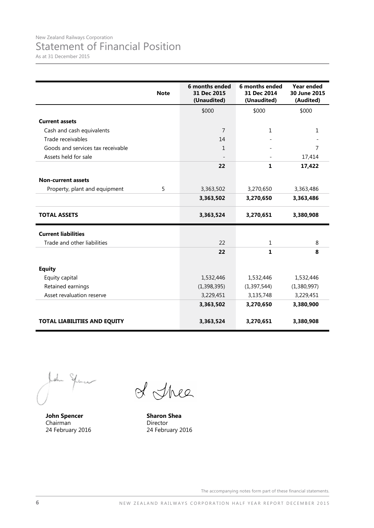As at 31 December 2015

|                                   | <b>Note</b> | 6 months ended<br>31 Dec 2015<br>(Unaudited) | 6 months ended<br>31 Dec 2014<br>(Unaudited) | Year ended<br>30 June 2015<br>(Audited) |
|-----------------------------------|-------------|----------------------------------------------|----------------------------------------------|-----------------------------------------|
|                                   |             | \$000                                        | \$000                                        | \$000                                   |
| <b>Current assets</b>             |             |                                              |                                              |                                         |
| Cash and cash equivalents         |             | $\overline{7}$                               | $\mathbf{1}$                                 | $\mathbf{1}$                            |
| Trade receivables                 |             | 14                                           |                                              |                                         |
| Goods and services tax receivable |             | $\mathbf{1}$                                 |                                              | 7                                       |
| Assets held for sale              |             |                                              |                                              | 17,414                                  |
|                                   |             | 22                                           | $\mathbf{1}$                                 | 17,422                                  |
| <b>Non-current assets</b>         |             |                                              |                                              |                                         |
| Property, plant and equipment     | 5           | 3,363,502                                    | 3,270,650                                    | 3,363,486                               |
|                                   |             | 3,363,502                                    | 3,270,650                                    | 3,363,486                               |
| <b>TOTAL ASSETS</b>               |             | 3,363,524                                    | 3,270,651                                    | 3,380,908                               |
| <b>Current liabilities</b>        |             |                                              |                                              |                                         |
| Trade and other liabilities       |             | 22                                           | $\mathbf{1}$                                 | 8                                       |
|                                   |             | 22                                           | 1                                            | 8                                       |
| <b>Equity</b>                     |             |                                              |                                              |                                         |
| Equity capital                    |             | 1,532,446                                    | 1,532,446                                    | 1,532,446                               |
| Retained earnings                 |             | (1, 398, 395)                                | (1, 397, 544)                                | (1,380,997)                             |
| Asset revaluation reserve         |             | 3,229,451                                    | 3,135,748                                    | 3,229,451                               |
|                                   |             | 3,363,502                                    | 3,270,650                                    | 3,380,900                               |
| TOTAL LIABILITIES AND EQUITY      |             | 3,363,524                                    | 3,270,651                                    | 3,380,908                               |

home

**John Spencer** Chairman 24 February 2016

of Thee

**Sharon Shea** Director 24 February 2016

The accompanying notes form part of these financial statements.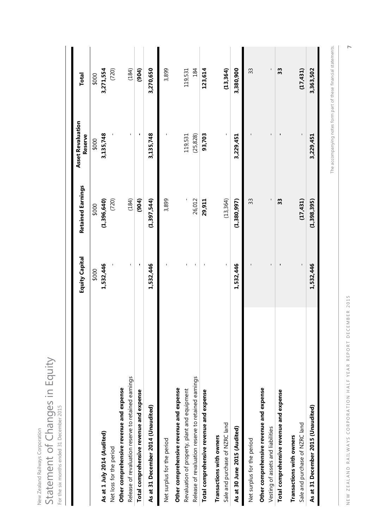| Statement of Changes in Equity<br>For the six months ended 31 December 2015 |                       |                          |                                     |              |
|-----------------------------------------------------------------------------|-----------------------|--------------------------|-------------------------------------|--------------|
|                                                                             | <b>Equity Capital</b> | <b>Retained Earnings</b> | <b>Asset Revaluation</b><br>Reserve | <b>Total</b> |
|                                                                             | \$000                 | \$000                    | \$000                               | \$000        |
| As at 1 July 2014 (Audited)                                                 | 1,532,446             | (1,396,640)              | 3,135,748                           | 3,271,554    |
| Net loss for the period                                                     |                       | (720)                    |                                     | (720)        |
| Other comprehensive revenue and expense                                     |                       |                          |                                     |              |
| Release of revaluation reserve to retained earnings                         | L.                    | (184)                    |                                     | (184)        |
| Total comprehensive revenue and expense                                     | ×,                    | (904)                    | ٠                                   | (904)        |
| As at 31 December 2014 (Unaudited)                                          | 1,532,446             | (1, 397, 544)            | 3,135,748                           | 3,270,650    |
| Net surplus for the period                                                  |                       | 3,899                    |                                     | 3,899        |
| Other comprehensive revenue and expense                                     |                       |                          |                                     |              |
| Revaluation of property, plant and equipment                                | ı                     |                          | 119,531                             | 119,531      |
| Release of revaluation reserve to retained earnings                         | L.                    | 26,012                   | (25, 828)                           | 184          |
| Total comprehensive revenue and expense                                     |                       | 29,911                   | 93,703                              | 123,614      |
| Transactions with owners                                                    |                       |                          |                                     |              |
| Sale and purchase of NZRC land                                              | $\mathsf I$           | (13, 364)                |                                     | (13, 364)    |
| As at 30 June 2015 (Audited)                                                | 1,532,446             | (1,380,997)              | 3,229,451                           | 3,380,900    |
| Net surplus for the period                                                  |                       | 33                       |                                     | 33           |
| Other comprehensive revenue and expense                                     |                       |                          |                                     |              |
| Vesting of assets and liabilities                                           | $\mathbf{I}$          |                          |                                     |              |
| Total comprehensive revenue and expense                                     |                       | 33                       |                                     | 33           |
| Transactions with owners                                                    |                       |                          |                                     |              |
| Sale and purchase of NZRC land                                              | $\mathsf I$           | (17, 431)                |                                     | (17, 431)    |
| As at 31 December 2015 (Unaudited)                                          | 1,532,446             | (1,398,395)              | 3,229,451                           | 3,363,502    |

New Zealand Railways Corporation

New Zealand Railways Corporation

The accompanying notes form part of these financial statements. The accompanying notes form part of these financial statements.

> NEW ZEALAND RAILWAYS CORPORATION HALF YEAR REPORT DECEMBER 2015 NEW ZEALAND RAILWAYS CORPORATION HALF YEAR REPORT DECEMBER 2015

**7**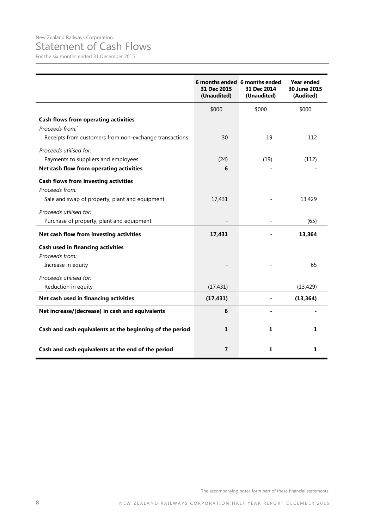### Statement of Cash Flows

For the six months ended 31 December 2015

|                                                          | 6 months ended 6 months ended<br>31 Dec 2015<br>(Unaudited) | 31 Dec 2014<br>(Unaudited) | Year ended<br>30 June 2015<br>(Audited) |
|----------------------------------------------------------|-------------------------------------------------------------|----------------------------|-----------------------------------------|
|                                                          | \$000                                                       | \$000                      | \$000                                   |
| <b>Cash flows from operating activities</b>              |                                                             |                            |                                         |
| Proceeds from:                                           |                                                             |                            |                                         |
| Receipts from customers from non-exchange transactions   | 30                                                          | 19                         | 112                                     |
| Proceeds utilised for:                                   |                                                             |                            |                                         |
| Payments to suppliers and employees                      | (24)                                                        | (19)                       | (112)                                   |
| Net cash flow from operating activities                  | 6                                                           |                            |                                         |
| <b>Cash flows from investing activities</b>              |                                                             |                            |                                         |
| Proceeds from:                                           |                                                             |                            |                                         |
| Sale and swap of property, plant and equipment           | 17,431                                                      |                            | 13,429                                  |
| Proceeds utilised for:                                   |                                                             |                            |                                         |
| Purchase of property, plant and equipment                |                                                             |                            | (65)                                    |
| Net cash flow from investing activities                  | 17,431                                                      |                            | 13,364                                  |
| Cash used in financing activities                        |                                                             |                            |                                         |
| Proceeds from:                                           |                                                             |                            |                                         |
| Increase in equity                                       |                                                             |                            | 65                                      |
| Proceeds utilised for:                                   |                                                             |                            |                                         |
| Reduction in equity                                      | (17, 431)                                                   |                            | (13, 429)                               |
| Net cash used in financing activities                    | (17, 431)                                                   |                            | (13, 364)                               |
| Net increase/(decrease) in cash and equivalents          | 6                                                           |                            |                                         |
| Cash and cash equivalents at the beginning of the period | 1                                                           | 1                          | 1                                       |
| Cash and cash equivalents at the end of the period       | 7                                                           | 1                          | 1                                       |

The accompanying notes form part of these financial statements.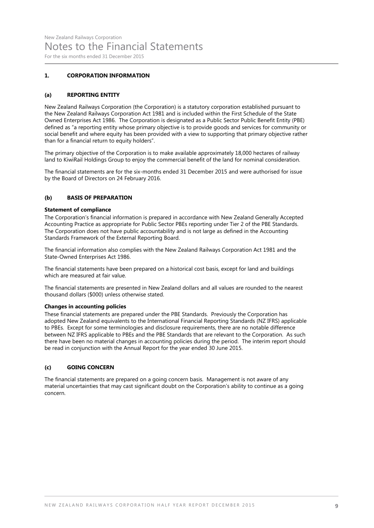#### **1. CORPORATION INFORMATION**

#### **(a) REPORTING ENTITY**

New Zealand Railways Corporation (the Corporation) is a statutory corporation established pursuant to the New Zealand Railways Corporation Act 1981 and is included within the First Schedule of the State Owned Enterprises Act 1986. The Corporation is designated as a Public Sector Public Benefit Entity (PBE) defined as "a reporting entity whose primary objective is to provide goods and services for community or social benefit and where equity has been provided with a view to supporting that primary objective rather than for a financial return to equity holders".

The primary objective of the Corporation is to make available approximately 18,000 hectares of railway land to KiwiRail Holdings Group to enjoy the commercial benefit of the land for nominal consideration.

The financial statements are for the six-months ended 31 December 2015 and were authorised for issue by the Board of Directors on 24 February 2016.

#### **(b) BASIS OF PREPARATION**

#### **Statement of compliance**

The Corporation's financial information is prepared in accordance with New Zealand Generally Accepted Accounting Practice as appropriate for Public Sector PBEs reporting under Tier 2 of the PBE Standards. The Corporation does not have public accountability and is not large as defined in the Accounting Standards Framework of the External Reporting Board.

The financial information also complies with the New Zealand Railways Corporation Act 1981 and the State-Owned Enterprises Act 1986.

The financial statements have been prepared on a historical cost basis, except for land and buildings which are measured at fair value.

The financial statements are presented in New Zealand dollars and all values are rounded to the nearest thousand dollars (\$000) unless otherwise stated.

#### **Changes in accounting policies**

These financial statements are prepared under the PBE Standards. Previously the Corporation has adopted New Zealand equivalents to the International Financial Reporting Standards (NZ IFRS) applicable to PBEs. Except for some terminologies and disclosure requirements, there are no notable difference between NZ IFRS applicable to PBEs and the PBE Standards that are relevant to the Corporation. As such there have been no material changes in accounting policies during the period. The interim report should be read in conjunction with the Annual Report for the year ended 30 June 2015.

#### **(c) GOING CONCERN**

The financial statements are prepared on a going concern basis. Management is not aware of any material uncertainties that may cast significant doubt on the Corporation's ability to continue as a going concern.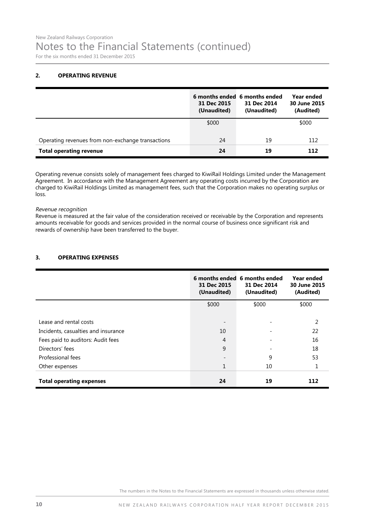#### **2. OPERATING REVENUE**

|                                                   | 31 Dec 2015<br>(Unaudited) | 6 months ended 6 months ended<br>31 Dec 2014<br>(Unaudited) | Year ended<br>30 June 2015<br>(Audited) |
|---------------------------------------------------|----------------------------|-------------------------------------------------------------|-----------------------------------------|
|                                                   | \$000                      |                                                             | \$000                                   |
| Operating revenues from non-exchange transactions | 24                         | 19                                                          | 112                                     |
| <b>Total operating revenue</b>                    | 24                         | 19                                                          | 112                                     |

Operating revenue consists solely of management fees charged to KiwiRail Holdings Limited under the Management Agreement. In accordance with the Management Agreement any operating costs incurred by the Corporation are charged to KiwiRail Holdings Limited as management fees, such that the Corporation makes no operating surplus or loss.

Revenue recognition

Revenue is measured at the fair value of the consideration received or receivable by the Corporation and represents amounts receivable for goods and services provided in the normal course of business once significant risk and rewards of ownership have been transferred to the buyer.

#### **3. OPERATING EXPENSES**

|                                     | 31 Dec 2015<br>(Unaudited) | 6 months ended 6 months ended<br>31 Dec 2014<br>(Unaudited) | Year ended<br>30 June 2015<br>(Audited) |
|-------------------------------------|----------------------------|-------------------------------------------------------------|-----------------------------------------|
|                                     | \$000                      | \$000                                                       | \$000                                   |
| Lease and rental costs              |                            |                                                             | 2                                       |
| Incidents, casualties and insurance | 10                         |                                                             | 22                                      |
| Fees paid to auditors: Audit fees   | $\overline{4}$             |                                                             | 16                                      |
| Directors' fees                     | 9                          |                                                             | 18                                      |
| Professional fees                   |                            | 9                                                           | 53                                      |
| Other expenses                      | 1                          | 10                                                          | 1                                       |
| <b>Total operating expenses</b>     | 24                         | 19                                                          | 112                                     |

The numbers in the Notes to the Financial Statements are expressed in thousands unless otherwise stated.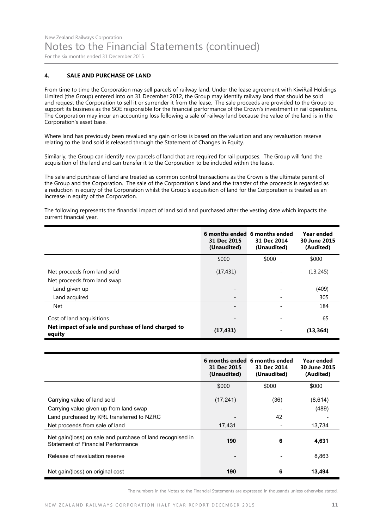#### **4. SALE AND PURCHASE OF LAND**

From time to time the Corporation may sell parcels of railway land. Under the lease agreement with KiwiRail Holdings Limited (the Group) entered into on 31 December 2012, the Group may identify railway land that should be sold and request the Corporation to sell it or surrender it from the lease. The sale proceeds are provided to the Group to support its business as the SOE responsible for the financial performance of the Crown's investment in rail operations. The Corporation may incur an accounting loss following a sale of railway land because the value of the land is in the Corporation's asset base.

Where land has previously been revalued any gain or loss is based on the valuation and any revaluation reserve relating to the land sold is released through the Statement of Changes in Equity.

Similarly, the Group can identify new parcels of land that are required for rail purposes. The Group will fund the acquisition of the land and can transfer it to the Corporation to be included within the lease.

The sale and purchase of land are treated as common control transactions as the Crown is the ultimate parent of the Group and the Corporation. The sale of the Corporation's land and the transfer of the proceeds is regarded as a reduction in equity of the Corporation whilst the Group's acquisition of land for the Corporation is treated as an increase in equity of the Corporation.

The following represents the financial impact of land sold and purchased after the vesting date which impacts the current financial year.

|                                                              | 31 Dec 2015<br>(Unaudited) | 6 months ended 6 months ended<br>31 Dec 2014<br>(Unaudited) | Year ended<br>30 June 2015<br>(Audited) |
|--------------------------------------------------------------|----------------------------|-------------------------------------------------------------|-----------------------------------------|
|                                                              | \$000                      | \$000                                                       | \$000                                   |
| Net proceeds from land sold<br>Net proceeds from land swap   | (17, 431)                  |                                                             | (13,245)                                |
| Land given up                                                | $\overline{\phantom{a}}$   |                                                             | (409)                                   |
| Land acquired                                                | $\qquad \qquad$            |                                                             | 305                                     |
| <b>Net</b>                                                   | $\qquad \qquad$            |                                                             | 184                                     |
| Cost of land acquisitions                                    | -                          |                                                             | 65                                      |
| Net impact of sale and purchase of land charged to<br>equity | (17, 431)                  |                                                             | (13, 364)                               |

|                                                                                                  | 31 Dec 2015<br>(Unaudited) | 6 months ended 6 months ended<br>31 Dec 2014<br>(Unaudited) | Year ended<br>30 June 2015<br>(Audited) |
|--------------------------------------------------------------------------------------------------|----------------------------|-------------------------------------------------------------|-----------------------------------------|
|                                                                                                  | \$000                      | \$000                                                       | \$000                                   |
| Carrying value of land sold                                                                      | (17, 241)                  | (36)                                                        | (8,614)                                 |
| Carrying value given up from land swap                                                           |                            |                                                             | (489)                                   |
| Land purchased by KRL transferred to NZRC                                                        |                            | 42                                                          |                                         |
| Net proceeds from sale of land                                                                   | 17,431                     |                                                             | 13,734                                  |
| Net gain/(loss) on sale and purchase of land recognised in<br>Statement of Financial Performance | 190                        | 6                                                           | 4,631                                   |
| Release of revaluation reserve                                                                   | $\overline{\phantom{0}}$   |                                                             | 8,863                                   |
| Net gain/(loss) on original cost                                                                 | 190                        | 6                                                           | 13,494                                  |

The numbers in the Notes to the Financial Statements are expressed in thousands unless otherwise stated.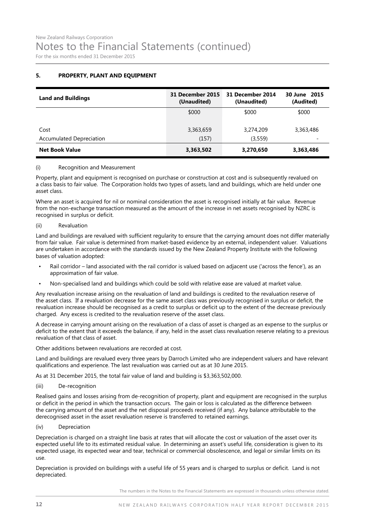#### **5. PROPERTY, PLANT AND EQUIPMENT**

| <b>Land and Buildings</b>       | 31 December 2015<br>(Unaudited) | 31 December 2014<br>(Unaudited) | 30 June 2015<br>(Audited) |
|---------------------------------|---------------------------------|---------------------------------|---------------------------|
|                                 | \$000                           | \$000                           | \$000                     |
| Cost                            | 3,363,659                       | 3,274,209                       | 3,363,486                 |
| <b>Accumulated Depreciation</b> | (157)                           | (3,559)                         |                           |
| <b>Net Book Value</b>           | 3,363,502                       | 3,270,650                       | 3,363,486                 |

#### (i) Recognition and Measurement

Property, plant and equipment is recognised on purchase or construction at cost and is subsequently revalued on a class basis to fair value. The Corporation holds two types of assets, land and buildings, which are held under one asset class.

Where an asset is acquired for nil or nominal consideration the asset is recognised initially at fair value. Revenue from the non-exchange transaction measured as the amount of the increase in net assets recognised by NZRC is recognised in surplus or deficit.

#### (ii) Revaluation

Land and buildings are revalued with sufficient regularity to ensure that the carrying amount does not differ materially from fair value. Fair value is determined from market-based evidence by an external, independent valuer. Valuations are undertaken in accordance with the standards issued by the New Zealand Property Institute with the following bases of valuation adopted:

- Rail corridor land associated with the rail corridor is valued based on adjacent use ('across the fence'), as an approximation of fair value.
- Non-specialised land and buildings which could be sold with relative ease are valued at market value.

Any revaluation increase arising on the revaluation of land and buildings is credited to the revaluation reserve of the asset class. If a revaluation decrease for the same asset class was previously recognised in surplus or deficit, the revaluation increase should be recognised as a credit to surplus or deficit up to the extent of the decrease previously charged. Any excess is credited to the revaluation reserve of the asset class.

A decrease in carrying amount arising on the revaluation of a class of asset is charged as an expense to the surplus or deficit to the extent that it exceeds the balance, if any, held in the asset class revaluation reserve relating to a previous revaluation of that class of asset.

Other additions between revaluations are recorded at cost.

Land and buildings are revalued every three years by Darroch Limited who are independent valuers and have relevant qualifications and experience. The last revaluation was carried out as at 30 June 2015.

As at 31 December 2015, the total fair value of land and building is \$3,363,502,000.

(iii) De-recognition

Realised gains and losses arising from de-recognition of property, plant and equipment are recognised in the surplus or deficit in the period in which the transaction occurs. The gain or loss is calculated as the difference between the carrying amount of the asset and the net disposal proceeds received (if any). Any balance attributable to the derecognised asset in the asset revaluation reserve is transferred to retained earnings.

(iv) Depreciation

Depreciation is charged on a straight line basis at rates that will allocate the cost or valuation of the asset over its expected useful life to its estimated residual value. In determining an asset's useful life, consideration is given to its expected usage, its expected wear and tear, technical or commercial obsolescence, and legal or similar limits on its use.

Depreciation is provided on buildings with a useful life of 55 years and is charged to surplus or deficit. Land is not depreciated.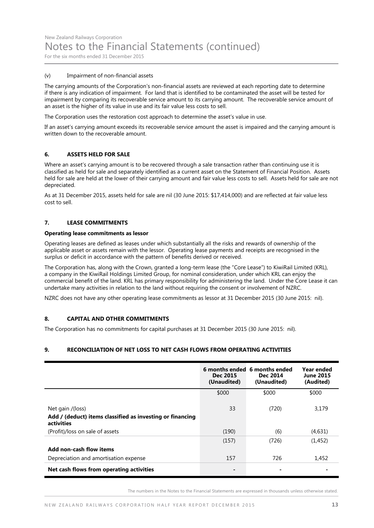#### (v) Impairment of non-financial assets

The carrying amounts of the Corporation's non-financial assets are reviewed at each reporting date to determine if there is any indication of impairment. For land that is identified to be contaminated the asset will be tested for impairment by comparing its recoverable service amount to its carrying amount. The recoverable service amount of an asset is the higher of its value in use and its fair value less costs to sell.

The Corporation uses the restoration cost approach to determine the asset's value in use.

If an asset's carrying amount exceeds its recoverable service amount the asset is impaired and the carrying amount is written down to the recoverable amount.

#### **6. ASSETS HELD FOR SALE**

Where an asset's carrying amount is to be recovered through a sale transaction rather than continuing use it is classified as held for sale and separately identified as a current asset on the Statement of Financial Position. Assets held for sale are held at the lower of their carrying amount and fair value less costs to sell. Assets held for sale are not depreciated.

As at 31 December 2015, assets held for sale are nil (30 June 2015: \$17,414,000) and are reflected at fair value less cost to sell.

#### **7. LEASE COMMITMENTS**

#### **Operating lease commitments as lessor**

Operating leases are defined as leases under which substantially all the risks and rewards of ownership of the applicable asset or assets remain with the lessor. Operating lease payments and receipts are recognised in the surplus or deficit in accordance with the pattern of benefits derived or received.

The Corporation has, along with the Crown, granted a long-term lease (the "Core Lease") to KiwiRail Limited (KRL), a company in the KiwiRail Holdings Limited Group, for nominal consideration, under which KRL can enjoy the commercial benefit of the land. KRL has primary responsibility for administering the land. Under the Core Lease it can undertake many activities in relation to the land without requiring the consent or involvement of NZRC.

NZRC does not have any other operating lease commitments as lessor at 31 December 2015 (30 June 2015: nil).

#### **8. CAPITAL AND OTHER COMMITMENTS**

The Corporation has no commitments for capital purchases at 31 December 2015 (30 June 2015: nil).

#### **9. RECONCILIATION OF NET LOSS TO NET CASH FLOWS FROM OPERATING ACTIVITIES**

|                                                                                             | Dec 2015<br>(Unaudited) | 6 months ended 6 months ended<br>Dec 2014<br>(Unaudited) | Year ended<br><b>June 2015</b><br>(Audited) |
|---------------------------------------------------------------------------------------------|-------------------------|----------------------------------------------------------|---------------------------------------------|
|                                                                                             | \$000                   | \$000                                                    | \$000                                       |
| Net gain /(loss)<br>Add / (deduct) items classified as investing or financing<br>activities | 33                      | (720)                                                    | 3,179                                       |
| (Profit)/loss on sale of assets                                                             | (190)                   | (6)                                                      | (4,631)                                     |
| Add non-cash flow items                                                                     | (157)                   | (726)                                                    | (1, 452)                                    |
| Depreciation and amortisation expense                                                       | 157                     | 726                                                      | 1,452                                       |
| Net cash flows from operating activities                                                    | -                       |                                                          |                                             |

The numbers in the Notes to the Financial Statements are expressed in thousands unless otherwise stated.